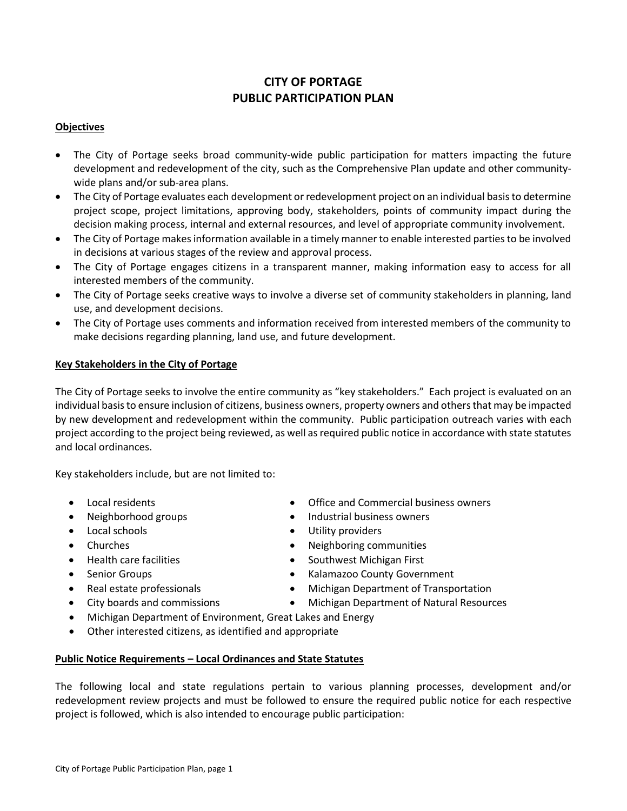# **CITY OF PORTAGE PUBLIC PARTICIPATION PLAN**

#### **Objectives**

- The City of Portage seeks broad community-wide public participation for matters impacting the future development and redevelopment of the city, such as the Comprehensive Plan update and other communitywide plans and/or sub-area plans.
- The City of Portage evaluates each development or redevelopment project on an individual basis to determine project scope, project limitations, approving body, stakeholders, points of community impact during the decision making process, internal and external resources, and level of appropriate community involvement.
- The City of Portage makes information available in a timely manner to enable interested parties to be involved in decisions at various stages of the review and approval process.
- The City of Portage engages citizens in a transparent manner, making information easy to access for all interested members of the community.
- The City of Portage seeks creative ways to involve a diverse set of community stakeholders in planning, land use, and development decisions.
- The City of Portage uses comments and information received from interested members of the community to make decisions regarding planning, land use, and future development.

#### **Key Stakeholders in the City of Portage**

The City of Portage seeks to involve the entire community as "key stakeholders." Each project is evaluated on an individual basis to ensure inclusion of citizens, business owners, property owners and others that may be impacted by new development and redevelopment within the community. Public participation outreach varies with each project according to the project being reviewed, as well as required public notice in accordance with state statutes and local ordinances.

Key stakeholders include, but are not limited to:

- 
- 
- 
- 
- 
- 
- 
- 
- Local residents Office and Commercial business owners
- Neighborhood groups **Industrial business owners**
- Local schools **Contact State State State State State State State State State State State State State State State State State State State State State State State State State State State State State State State State State**
- Churches **1988** Churches **1988** Churches **1988** Churches **1988** Churches **1988** Churches **1988** Churches **1989** Churches **1989** Churches **1989** Churches **1989** Churches **1989** Churches **1989** Churches **1989** Churches **19**
- Health care facilities **Southwest Michigan First Southwest Michigan First** 
	- Senior Groups **Kalamazoo County Government**
- Real estate professionals **Michigan Department of Transportation**
- City boards and commissions Michigan Department of Natural Resources
- Michigan Department of Environment, Great Lakes and Energy
- Other interested citizens, as identified and appropriate

#### **Public Notice Requirements – Local Ordinances and State Statutes**

The following local and state regulations pertain to various planning processes, development and/or redevelopment review projects and must be followed to ensure the required public notice for each respective project is followed, which is also intended to encourage public participation: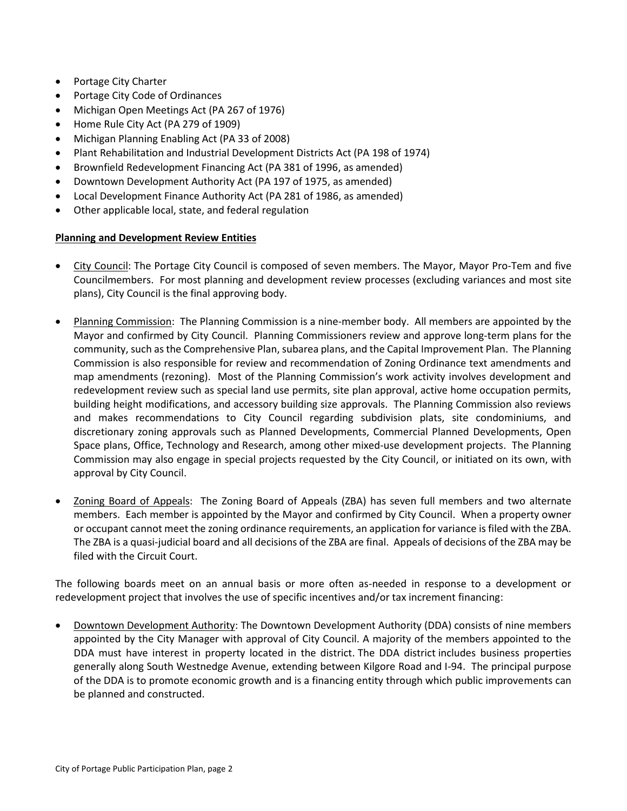- Portage City Charter
- Portage City Code of Ordinances
- Michigan Open Meetings Act (PA 267 of 1976)
- Home Rule City Act (PA 279 of 1909)
- Michigan Planning Enabling Act (PA 33 of 2008)
- Plant Rehabilitation and Industrial Development Districts Act (PA 198 of 1974)
- Brownfield Redevelopment Financing Act (PA 381 of 1996, as amended)
- Downtown Development Authority Act (PA 197 of 1975, as amended)
- Local Development Finance Authority Act (PA 281 of 1986, as amended)
- Other applicable local, state, and federal regulation

#### **Planning and Development Review Entities**

- City Council: The Portage City Council is composed of seven members. The Mayor, Mayor Pro-Tem and five Councilmembers. For most planning and development review processes (excluding variances and most site plans), City Council is the final approving body.
- Planning Commission: The Planning Commission is a nine-member body. All members are appointed by the Mayor and confirmed by City Council. Planning Commissioners review and approve long-term plans for the community, such as the Comprehensive Plan, subarea plans, and the Capital Improvement Plan. The Planning Commission is also responsible for review and recommendation of Zoning Ordinance text amendments and map amendments (rezoning). Most of the Planning Commission's work activity involves development and redevelopment review such as special land use permits, site plan approval, active home occupation permits, building height modifications, and accessory building size approvals. The Planning Commission also reviews and makes recommendations to City Council regarding subdivision plats, site condominiums, and discretionary zoning approvals such as Planned Developments, Commercial Planned Developments, Open Space plans, Office, Technology and Research, among other mixed-use development projects. The Planning Commission may also engage in special projects requested by the City Council, or initiated on its own, with approval by City Council.
- Zoning Board of Appeals: The Zoning Board of Appeals (ZBA) has seven full members and two alternate members. Each member is appointed by the Mayor and confirmed by City Council. When a property owner or occupant cannot meet the zoning ordinance requirements, an application for variance is filed with the ZBA. The ZBA is a quasi-judicial board and all decisions of the ZBA are final. Appeals of decisions of the ZBA may be filed with the Circuit Court.

The following boards meet on an annual basis or more often as-needed in response to a development or redevelopment project that involves the use of specific incentives and/or tax increment financing:

 Downtown Development Authority: The Downtown Development Authority (DDA) consists of nine members appointed by the City Manager with approval of City Council. A majority of the members appointed to the DDA must have interest in property located in the district. [The DDA](http://www.portagemi.gov/DocumentCenter/View/1816/Downtown-District-Authority-Map) district includes business properties generally along South Westnedge Avenue, extending between Kilgore Road and I-94. The principal purpose of the DDA is to promote economic growth and is a financing entity through which public improvements can be planned and constructed.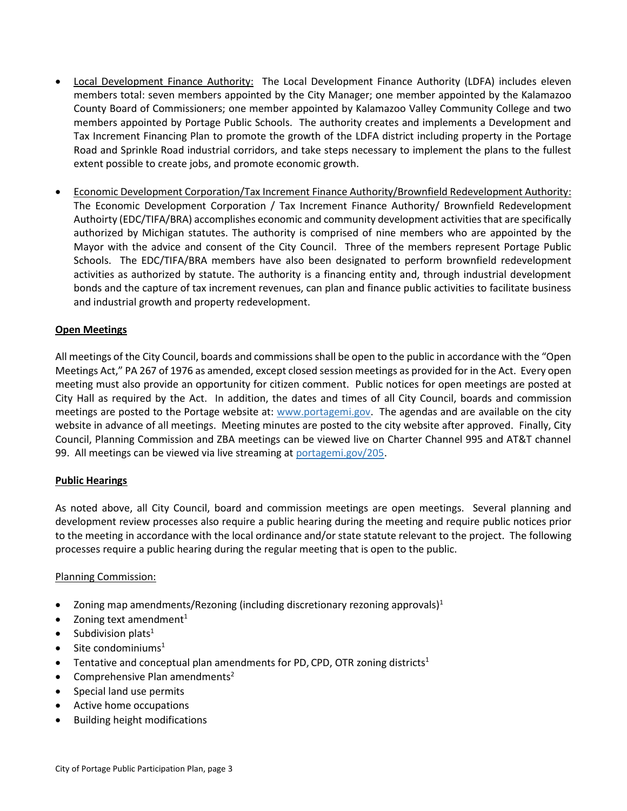- Local Development Finance Authority: The Local Development Finance Authority (LDFA) includes eleven members total: seven members appointed by the City Manager; one member appointed by the Kalamazoo County Board of Commissioners; one member appointed by Kalamazoo Valley Community College and two members appointed by Portage Public Schools. The authority creates and implements a Development and Tax Increment Financing Plan to promote the growth of the LDFA district including property in the Portage Road and Sprinkle Road industrial corridors, and take steps necessary to implement the plans to the fullest extent possible to create jobs, and promote economic growth.
- Economic Development Corporation/Tax Increment Finance Authority/Brownfield Redevelopment Authority: The Economic Development Corporation / Tax Increment Finance Authority/ Brownfield Redevelopment Authoirty (EDC/TIFA/BRA) accomplishes economic and community development activities that are specifically authorized by Michigan statutes. The authority is comprised of nine members who are appointed by the Mayor with the advice and consent of the City Council. Three of the members represent Portage Public Schools. The EDC/TIFA/BRA members have also been designated to perform brownfield redevelopment activities as authorized by statute. The authority is a financing entity and, through industrial development bonds and the capture of tax increment revenues, can plan and finance public activities to facilitate business and industrial growth and property redevelopment.

## **Open Meetings**

All meetings of the City Council, boards and commissions shall be open to the public in accordance with the "Open Meetings Act," PA 267 of 1976 as amended, except closed session meetings as provided for in the Act. Every open meeting must also provide an opportunity for citizen comment. Public notices for open meetings are posted at City Hall as required by the Act. In addition, the dates and times of all City Council, boards and commission meetings are posted to the Portage website at: www.portagemi.gov. The agendas and are available on the city website in advance of all meetings. Meeting minutes are posted to the city website after approved. Finally, City Council, Planning Commission and ZBA meetings can be viewed live on Charter Channel 995 and AT&T channel 99. All meetings can be viewed via live streaming at portagemi.gov/205.

#### **Public Hearings**

As noted above, all City Council, board and commission meetings are open meetings. Several planning and development review processes also require a public hearing during the meeting and require public notices prior to the meeting in accordance with the local ordinance and/or state statute relevant to the project. The following processes require a public hearing during the regular meeting that is open to the public.

#### Planning Commission:

- Zoning map amendments/Rezoning (including discretionary rezoning approvals)<sup>1</sup>
- Zoning text amendment $1$
- Subdivision plats<sup>1</sup>
- Site condominiums<sup>1</sup>
- Tentative and conceptual plan amendments for PD, CPD, OTR zoning districts<sup>1</sup>
- Comprehensive Plan amendments<sup>2</sup>
- Special land use permits
- Active home occupations
- Building height modifications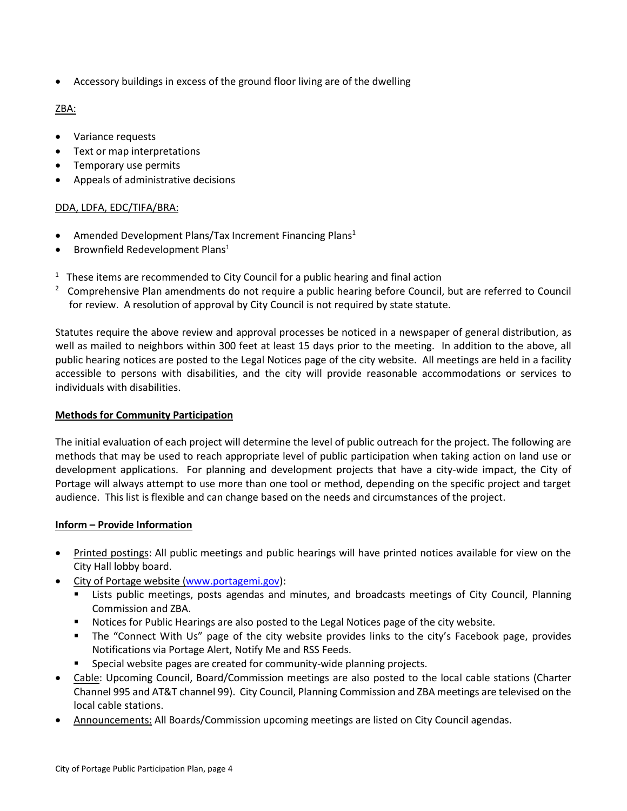Accessory buildings in excess of the ground floor living are of the dwelling

# ZBA:

- Variance requests
- Text or map interpretations
- Temporary use permits
- Appeals of administrative decisions

## DDA, LDFA, EDC/TIFA/BRA:

- Amended Development Plans/Tax Increment Financing Plans<sup>1</sup>
- Brownfield Redevelopment Plans<sup>1</sup>
- $1$  These items are recommended to City Council for a public hearing and final action
- <sup>2</sup> Comprehensive Plan amendments do not require a public hearing before Council, but are referred to Council for review. A resolution of approval by City Council is not required by state statute.

Statutes require the above review and approval processes be noticed in a newspaper of general distribution, as well as mailed to neighbors within 300 feet at least 15 days prior to the meeting. In addition to the above, all public hearing notices are posted to the Legal Notices page of the city website. All meetings are held in a facility accessible to persons with disabilities, and the city will provide reasonable accommodations or services to individuals with disabilities.

#### **Methods for Community Participation**

The initial evaluation of each project will determine the level of public outreach for the project. The following are methods that may be used to reach appropriate level of public participation when taking action on land use or development applications. For planning and development projects that have a city-wide impact, the City of Portage will always attempt to use more than one tool or method, depending on the specific project and target audience. This list is flexible and can change based on the needs and circumstances of the project.

#### **Inform – Provide Information**

- Printed postings: All public meetings and public hearings will have printed notices available for view on the City Hall lobby board.
- City of Portage website [\(www.portagemi.gov\)](http://www.portagemi.gov/):
	- Lists public meetings, posts agendas and minutes, and broadcasts meetings of City Council, Planning Commission and ZBA.
	- **Notices for Public Hearings are also posted to the Legal Notices page of the city website.**
	- The "Connect With Us" page of the city website provides links to the city's Facebook page, provides Notifications via Portage Alert, Notify Me and RSS Feeds.
	- Special website pages are created for community-wide planning projects.
- Cable: Upcoming Council, Board/Commission meetings are also posted to the local cable stations (Charter Channel 995 and AT&T channel 99). City Council, Planning Commission and ZBA meetings are televised on the local cable stations.
- Announcements: All Boards/Commission upcoming meetings are listed on City Council agendas.